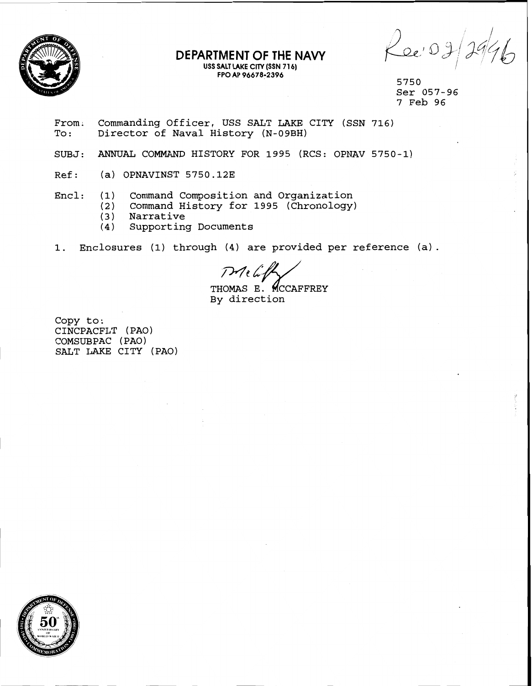

#### **DEPARTMENT OF THE NAVY USS SALT LAKE CITY (S\$N 71 6) FPO AP 96678-2396**

 $\rho_{0e^{\prime}}$ 0g

5750 Ser 057-96 7 Feb 96

- From. Commanding Officer, USS SALT LAKE CITY (SSN 716) To: Director of Naval History (N-09BH)
- SUBJ: ANNUAL COMMAND HISTORY FOR 1995 (RCS: OPNAV 5750-1)
- Ref: (a) OPNAVINST 5750.12E
- Encl: (1) Command Composition and Organization
	- (2) Command History for 1995 (Chronology)
		- **(3)** Narrative
	- **(4)** Supporting Documents
- 1. Enclosures **(1)** through **(4)** are provided per reference (a).

 $P$   $\ell$ 

THOMAS E. MCCAFFREY By direction

Copy to: CINCPACFLT (PAO) COMSUBPAC (PAO) SALT LAKE CITY (PAO)

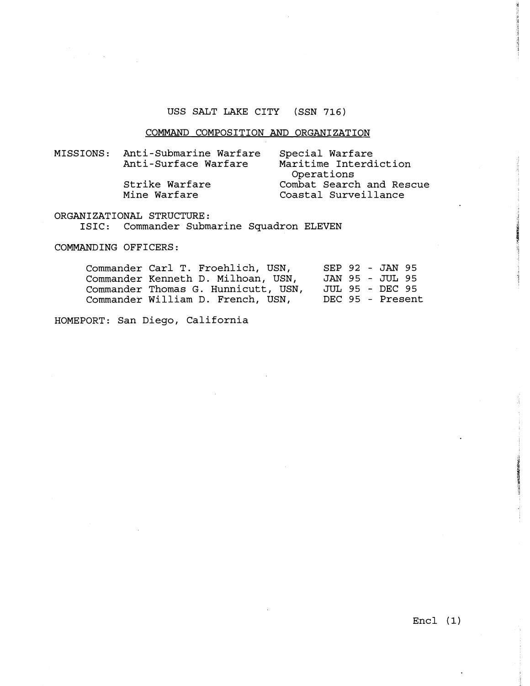#### USS SALT LAKE CITY (SSN 716)

#### COMMAND COMPOSITION AND ORGANIZATION

MISSIONS: Anti-Submarine Warfare Special Warfare Maritime Interdiction Operations Strike Warfare Combat Search and Rescue<br>Mine Warfare Coastal Surveillance Coastal Surveillance

#### ORGANIZATIONAL STRUCTURE:

ISIC: Commander Submarine Squadron ELEVEN

COMMANDING OFFICERS:

| Commander Carl T. Froehlich, USN,   | SEP 92 - JAN 95  |
|-------------------------------------|------------------|
| Commander Kenneth D. Milhoan, USN,  | JAN 95 - JUL 95  |
| Commander Thomas G. Hunnicutt, USN, | JUL 95 - DEC 95  |
| Commander William D. French, USN,   | DEC 95 - Present |

HOMEPORT: San Diego, California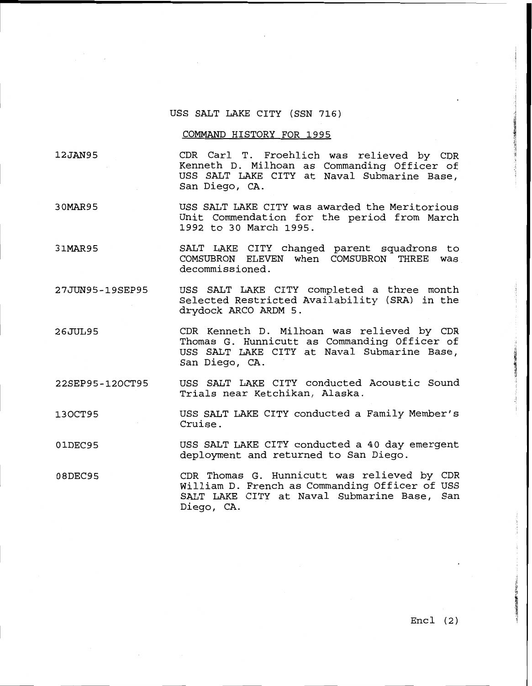### USS SALT LAKE CITY (SSN 716)

#### COMMAND HISTORY FOR 1995

12JAN95 CDR Carl T. Froehlich was relieved by CDR Kenneth D. Milhoan as Commanding Officer of USS SALT LAKE CITY at Naval Submarine Base, San Diego, CA.

- 30MAR95 USS SALT LAKE CITY was awarded the Meritorious Unit Commendation for the period from March 1992 to 30 March 1995.
- 31MAR95 SALT LAKE CITY changed parent squadrons to COMSUBRON ELEVEN when COMSUBRON THREE was decommissioned.
- 27JUN95-19SEP95 USS SALT LAKE CITY completed a three month Selected Restricted Availability (SRA) in the drydock ARC0 ARDM 5.
- 26JUL95 CDR Kenneth D. Milhoan was relieved by CDR Thomas G. Hunnicutt as Commanding Officer of USS SALT LAKE CITY at Naval Submarine Base, San Diego, CA.
- 22SEP95-120CT95 USS SALT LAKE CITY conducted Acoustic Sound Trials near Ketchikan, Alaska.
- USS SALT LAKE CITY conducted a Family Member's 130CT95 Cruise.
- 01DEC95 USS SALT LAKE CITY conducted a 40 day emergent deployment and returned to San Diego.
- 08DEC95 CDR Thomas G. Bunnicutt was relieved by CDR William D. French as Commanding Officer of USS SALT LAKE CITY at Naval Submarine Base, San Diego, CA.